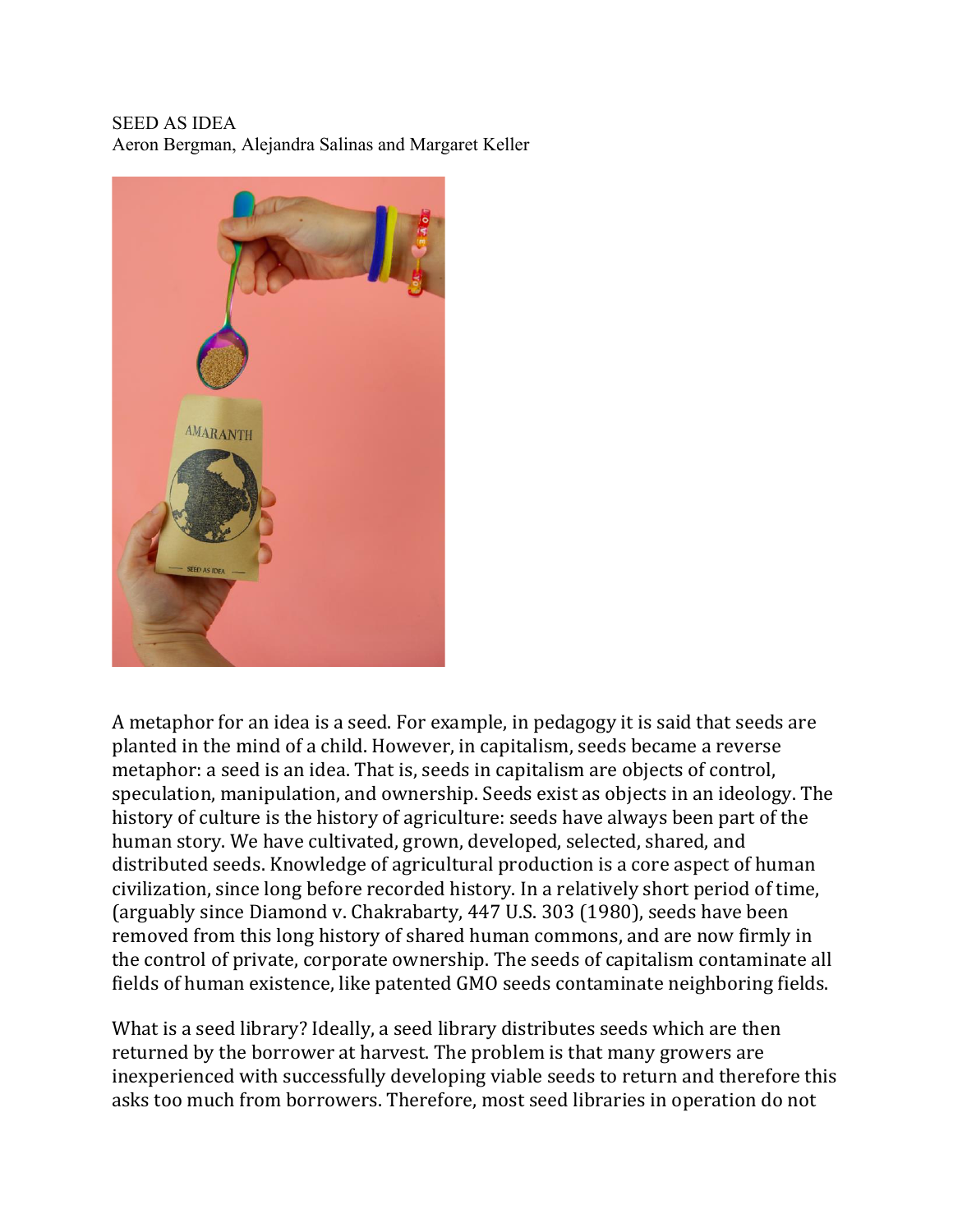## SEED AS IDEA Aeron Bergman, Alejandra Salinas and Margaret Keller



A metaphor for an idea is a seed. For example, in pedagogy it is said that seeds are planted in the mind of a child. However, in capitalism, seeds became a reverse metaphor: a seed is an idea. That is, seeds in capitalism are objects of control, speculation, manipulation, and ownership. Seeds exist as objects in an ideology. The history of culture is the history of agriculture: seeds have always been part of the human story. We have cultivated, grown, developed, selected, shared, and distributed seeds. Knowledge of agricultural production is a core aspect of human civilization, since long before recorded history. In a relatively short period of time, (arguably since Diamond v. Chakrabarty, 447 U.S. 303 (1980), seeds have been removed from this long history of shared human commons, and are now firmly in the control of private, corporate ownership. The seeds of capitalism contaminate all fields of human existence, like patented GMO seeds contaminate neighboring fields.

What is a seed library? Ideally, a seed library distributes seeds which are then returned by the borrower at harvest. The problem is that many growers are inexperienced with successfully developing viable seeds to return and therefore this asks too much from borrowers. Therefore, most seed libraries in operation do not